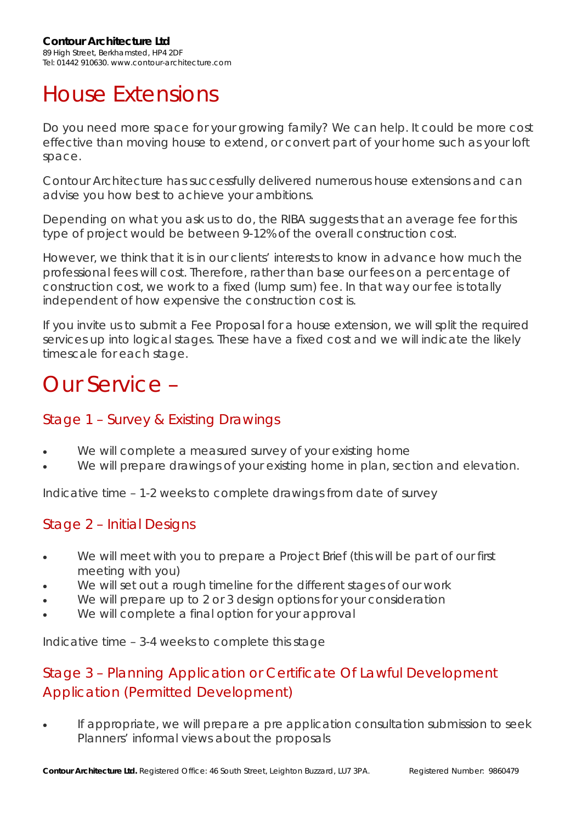# House Extensions

Do you need more space for your growing family? We can help. It could be more cost effective than moving house to extend, or convert part of your home such as your loft space.

Contour Architecture has successfully delivered numerous house extensions and can advise you how best to achieve your ambitions.

Depending on what you ask us to do, the RIBA suggests that an average fee for this type of project would be between 9-12% of the overall construction cost.

However, we think that it is in our clients' interests to know in advance how much the professional fees will cost. Therefore, rather than base our fees on a percentage of construction cost, we work to a fixed (lump sum) fee. In that way our fee is totally independent of how expensive the construction cost is.

If you invite us to submit a Fee Proposal for a house extension, we will split the required services up into logical stages. These have a fixed cost and we will indicate the likely timescale for each stage.

# Our Service –

## Stage 1 – Survey & Existing Drawings

- We will complete a measured survey of your existing home
- We will prepare drawings of your existing home in plan, section and elevation.

Indicative time – 1-2 weeks to complete drawings from date of survey

## Stage 2 – Initial Designs

- We will meet with you to prepare a Project Brief (this will be part of our first meeting with you)
- We will set out a rough timeline for the different stages of our work
- We will prepare up to 2 or 3 design options for your consideration
- We will complete a final option for your approval

Indicative time – 3-4 weeks to complete this stage

## Stage 3 – Planning Application or Certificate Of Lawful Development Application (Permitted Development)

If appropriate, we will prepare a pre application consultation submission to seek Planners' informal views about the proposals